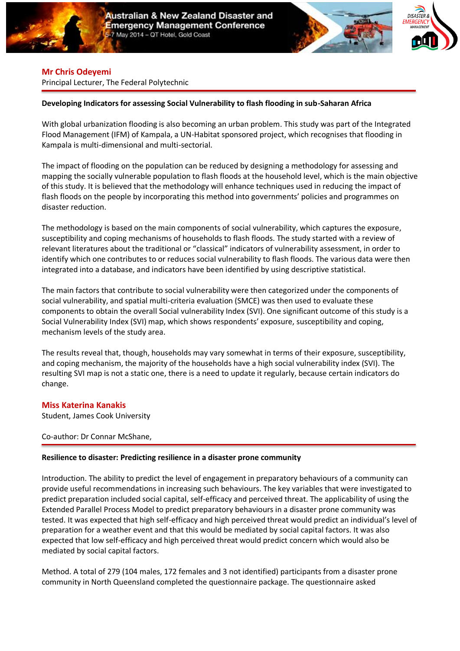





### **Mr Chris Odeyemi**

Principal Lecturer, The Federal Polytechnic

# **Developing Indicators for assessing Social Vulnerability to flash flooding in sub-Saharan Africa**

With global urbanization flooding is also becoming an urban problem. This study was part of the Integrated Flood Management (IFM) of Kampala, a UN-Habitat sponsored project, which recognises that flooding in Kampala is multi-dimensional and multi-sectorial.

The impact of flooding on the population can be reduced by designing a methodology for assessing and mapping the socially vulnerable population to flash floods at the household level, which is the main objective of this study. It is believed that the methodology will enhance techniques used in reducing the impact of flash floods on the people by incorporating this method into governments' policies and programmes on disaster reduction.

The methodology is based on the main components of social vulnerability, which captures the exposure, susceptibility and coping mechanisms of households to flash floods. The study started with a review of relevant literatures about the traditional or "classical" indicators of vulnerability assessment, in order to identify which one contributes to or reduces social vulnerability to flash floods. The various data were then integrated into a database, and indicators have been identified by using descriptive statistical.

The main factors that contribute to social vulnerability were then categorized under the components of social vulnerability, and spatial multi-criteria evaluation (SMCE) was then used to evaluate these components to obtain the overall Social vulnerability Index (SVI). One significant outcome of this study is a Social Vulnerability Index (SVI) map, which shows respondents' exposure, susceptibility and coping, mechanism levels of the study area.

The results reveal that, though, households may vary somewhat in terms of their exposure, susceptibility, and coping mechanism, the majority of the households have a high social vulnerability index (SVI). The resulting SVI map is not a static one, there is a need to update it regularly, because certain indicators do change.

# **Miss Katerina Kanakis**

Student, James Cook University

Co-author: Dr Connar McShane,

#### **Resilience to disaster: Predicting resilience in a disaster prone community**

Introduction. The ability to predict the level of engagement in preparatory behaviours of a community can provide useful recommendations in increasing such behaviours. The key variables that were investigated to predict preparation included social capital, self-efficacy and perceived threat. The applicability of using the Extended Parallel Process Model to predict preparatory behaviours in a disaster prone community was tested. It was expected that high self-efficacy and high perceived threat would predict an individual's level of preparation for a weather event and that this would be mediated by social capital factors. It was also expected that low self-efficacy and high perceived threat would predict concern which would also be mediated by social capital factors.

Method. A total of 279 (104 males, 172 females and 3 not identified) participants from a disaster prone community in North Queensland completed the questionnaire package. The questionnaire asked